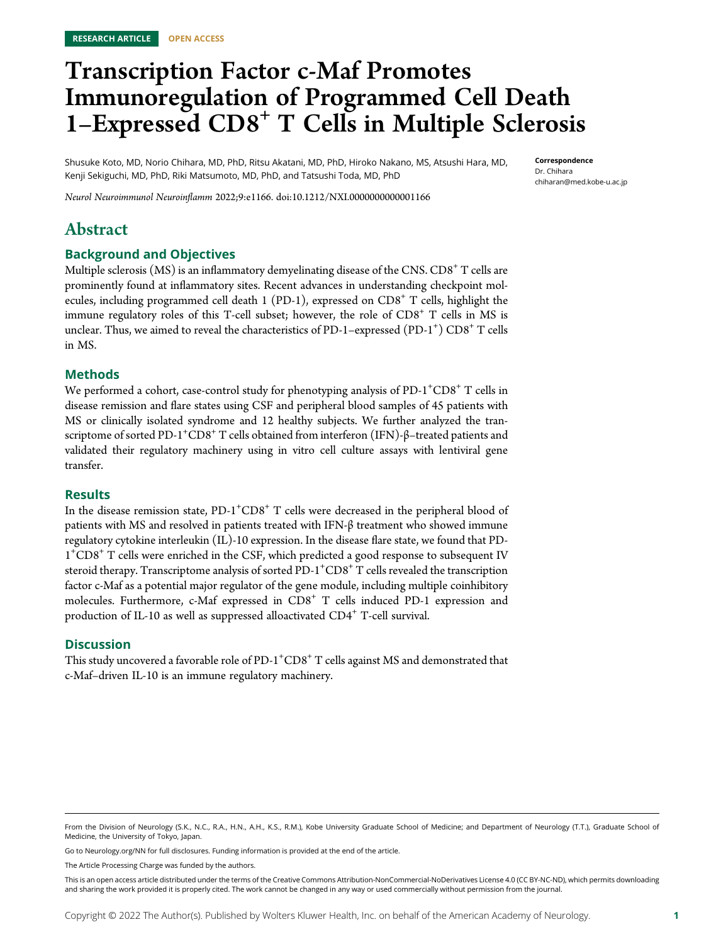# Transcription Factor c-Maf Promotes Immunoregulation of Programmed Cell Death 1–Expressed  $CDS<sup>+</sup> T$  Cells in Multiple Sclerosis

Shusuke Koto, MD, Norio Chihara, MD, PhD, Ritsu Akatani, MD, PhD, Hiroko Nakano, MS, Atsushi Hara, MD, Kenji Sekiguchi, MD, PhD, Riki Matsumoto, MD, PhD, and Tatsushi Toda, MD, PhD

Correspondence Dr. Chihara [chiharan@med.kobe-u.ac.jp](mailto:chiharan@med.kobe-u.ac.jp)

Neurol Neuroimmunol Neuroinflamm 2022;9:e1166. doi[:10.1212/NXI.0000000000001166](http://dx.doi.org/10.1212/NXI.0000000000001166)

# Abstract

### Background and Objectives

Multiple sclerosis (MS) is an inflammatory demyelinating disease of the CNS.  $CD8^+$  T cells are prominently found at inflammatory sites. Recent advances in understanding checkpoint molecules, including programmed cell death  $1$  (PD-1), expressed on CD8<sup>+</sup> T cells, highlight the immune regulatory roles of this T-cell subset; however, the role of  $CDS^+$  T cells in MS is unclear. Thus, we aimed to reveal the characteristics of PD-1-expressed  $( \text{PD-1}^+)$   $\text{CD8}^+$  T cells in MS.

### Methods

We performed a cohort, case-control study for phenotyping analysis of  $PD-1^\text{+}CD8^\text{+}$  T cells in disease remission and flare states using CSF and peripheral blood samples of 45 patients with MS or clinically isolated syndrome and 12 healthy subjects. We further analyzed the transcriptome of sorted PD-1 $^+$ CD8 $^+$  T cells obtained from interferon (IFN)-β–treated patients and validated their regulatory machinery using in vitro cell culture assays with lentiviral gene transfer.

### Results

In the disease remission state,  $PD-1^+CD8^+$  T cells were decreased in the peripheral blood of patients with MS and resolved in patients treated with IFN-β treatment who showed immune regulatory cytokine interleukin (IL)-10 expression. In the disease flare state, we found that PD-1+ CD8<sup>+</sup> T cells were enriched in the CSF, which predicted a good response to subsequent IV steroid therapy. Transcriptome analysis of sorted PD-1 $^{\mathrm{+}}$ CD8 $^{\mathrm{+}}$  T cells revealed the transcription factor c-Maf as a potential major regulator of the gene module, including multiple coinhibitory molecules. Furthermore, c-Maf expressed in  $CD8<sup>+</sup>$  T cells induced PD-1 expression and production of IL-10 as well as suppressed alloactivated  $CD4^+$  T-cell survival.

### **Discussion**

This study uncovered a favorable role of PD-1 $^+$ CD8 $^+$  T cells against MS and demonstrated that c-Maf–driven IL-10 is an immune regulatory machinery.

Go to [Neurology.org/NN](https://nn.neurology.org/content/9/4/e1166/tab-article-info) for full disclosures. Funding information is provided at the end of the article.

The Article Processing Charge was funded by the authors.

From the Division of Neurology (S.K., N.C., R.A., H.N., A.H., K.S., R.M.), Kobe University Graduate School of Medicine; and Department of Neurology (T.T.), Graduate School of Medicine, the University of Tokyo, Japan.

This is an open access article distributed under the terms of the [Creative Commons Attribution-NonCommercial-NoDerivatives License 4.0 \(CC BY-NC-ND\),](http://creativecommons.org/licenses/by-nc-nd/4.0/) which permits downloading and sharing the work provided it is properly cited. The work cannot be changed in any way or used commercially without permission from the journal.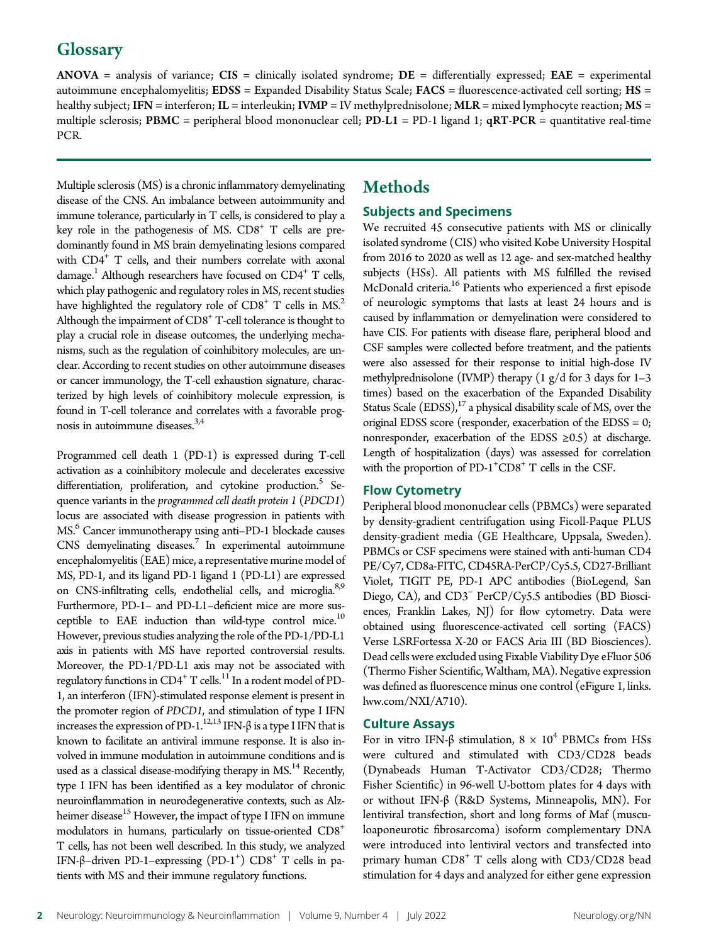# **Glossary**

 $ANOVA$  = analysis of variance;  $CIS$  = clinically isolated syndrome;  $DE$  = differentially expressed;  $EAE$  = experimental autoimmune encephalomyelitis; EDSS = Expanded Disability Status Scale; FACS = fluorescence-activated cell sorting; HS = healthy subject; IFN = interferon; IL = interleukin; IVMP = IV methylprednisolone; MLR = mixed lymphocyte reaction; MS = multiple sclerosis; PBMC = peripheral blood mononuclear cell; PD-L1 = PD-1 ligand 1;  $qRT-PCR =$  quantitative real-time PCR.

Multiple sclerosis (MS) is a chronic inflammatory demyelinating disease of the CNS. An imbalance between autoimmunity and immune tolerance, particularly in T cells, is considered to play a key role in the pathogenesis of MS.  $CDS<sup>+</sup> T$  cells are predominantly found in MS brain demyelinating lesions compared with CD4<sup>+</sup> T cells, and their numbers correlate with axonal damage.<sup>1</sup> Although researchers have focused on  $CD4^+$  T cells, which play pathogenic and regulatory roles in MS, recent studies have highlighted the regulatory role of  $CD8<sup>+</sup>$  T cells in MS.<sup>2</sup> Although the impairment of CD8<sup>+</sup> T-cell tolerance is thought to play a crucial role in disease outcomes, the underlying mechanisms, such as the regulation of coinhibitory molecules, are unclear. According to recent studies on other autoimmune diseases or cancer immunology, the T-cell exhaustion signature, characterized by high levels of coinhibitory molecule expression, is found in T-cell tolerance and correlates with a favorable prognosis in autoimmune diseases.<sup>3,4</sup>

Programmed cell death 1 (PD-1) is expressed during T-cell activation as a coinhibitory molecule and decelerates excessive differentiation, proliferation, and cytokine production.<sup>5</sup> Sequence variants in the programmed cell death protein 1 (PDCD1) locus are associated with disease progression in patients with MS.<sup>6</sup> Cancer immunotherapy using anti-PD-1 blockade causes CNS demyelinating diseases.<sup>7</sup> In experimental autoimmune encephalomyelitis (EAE) mice, a representative murine model of MS, PD-1, and its ligand PD-1 ligand 1 (PD-L1) are expressed on CNS-infiltrating cells, endothelial cells, and microglia.<sup>8,9</sup> Furthermore, PD-1– and PD-L1–deficient mice are more susceptible to EAE induction than wild-type control mice.<sup>10</sup> However, previous studies analyzing the role of the PD-1/PD-L1 axis in patients with MS have reported controversial results. Moreover, the PD-1/PD-L1 axis may not be associated with regulatory functions in  $CD4^+$  T cells.<sup>11</sup> In a rodent model of PD-1, an interferon (IFN)-stimulated response element is present in the promoter region of PDCD1, and stimulation of type I IFN increases the expression of PD-1.<sup>12,13</sup> IFN- $\beta$  is a type I IFN that is known to facilitate an antiviral immune response. It is also involved in immune modulation in autoimmune conditions and is used as a classical disease-modifying therapy in MS.<sup>14</sup> Recently, type I IFN has been identified as a key modulator of chronic neuroinflammation in neurodegenerative contexts, such as Alzheimer disease<sup>15</sup> However, the impact of type I IFN on immune modulators in humans, particularly on tissue-oriented CD8+ T cells, has not been well described. In this study, we analyzed IFN-β-driven PD-1-expressing (PD-1<sup>+</sup>) CD8<sup>+</sup> T cells in patients with MS and their immune regulatory functions.

# Methods

### Subjects and Specimens

We recruited 45 consecutive patients with MS or clinically isolated syndrome (CIS) who visited Kobe University Hospital from 2016 to 2020 as well as 12 age- and sex-matched healthy subjects (HSs). All patients with MS fulfilled the revised McDonald criteria.<sup>16</sup> Patients who experienced a first episode of neurologic symptoms that lasts at least 24 hours and is caused by inflammation or demyelination were considered to have CIS. For patients with disease flare, peripheral blood and CSF samples were collected before treatment, and the patients were also assessed for their response to initial high-dose IV methylprednisolone (IVMP) therapy  $(1 \text{ g}/d \text{ for } 3 \text{ days for } 1-3$ times) based on the exacerbation of the Expanded Disability Status Scale  $(EDSS)$ ,<sup>17</sup> a physical disability scale of MS, over the original EDSS score (responder, exacerbation of the EDSS = 0; nonresponder, exacerbation of the EDSS  $\geq 0.5$ ) at discharge. Length of hospitalization (days) was assessed for correlation with the proportion of PD-1<sup>+</sup>CD8<sup>+</sup> T cells in the CSF.

### Flow Cytometry

Peripheral blood mononuclear cells (PBMCs) were separated by density-gradient centrifugation using Ficoll-Paque PLUS density-gradient media (GE Healthcare, Uppsala, Sweden). PBMCs or CSF specimens were stained with anti-human CD4 PE/Cy7, CD8a-FITC, CD45RA-PerCP/Cy5.5, CD27-Brilliant Violet, TIGIT PE, PD-1 APC antibodies (BioLegend, San Diego, CA), and CD3<sup>−</sup> PerCP/Cy5.5 antibodies (BD Biosciences, Franklin Lakes, NJ) for flow cytometry. Data were obtained using fluorescence-activated cell sorting (FACS) Verse LSRFortessa X-20 or FACS Aria III (BD Biosciences). Dead cells were excluded using Fixable Viability Dye eFluor 506 (Thermo Fisher Scientific, Waltham, MA). Negative expression was defined as fluorescence minus one control (eFigure 1, [links.](http://links.lww.com/NXI/A710) [lww.com/NXI/A710\)](http://links.lww.com/NXI/A710).

### Culture Assays

For in vitro IFN-β stimulation,  $8 \times 10^4$  PBMCs from HSs were cultured and stimulated with CD3/CD28 beads (Dynabeads Human T-Activator CD3/CD28; Thermo Fisher Scientific) in 96-well U-bottom plates for 4 days with or without IFN-β (R&D Systems, Minneapolis, MN). For lentiviral transfection, short and long forms of Maf (musculoaponeurotic fibrosarcoma) isoform complementary DNA were introduced into lentiviral vectors and transfected into primary human  $CDS<sup>+</sup> T$  cells along with  $CD3/CD28$  bead stimulation for 4 days and analyzed for either gene expression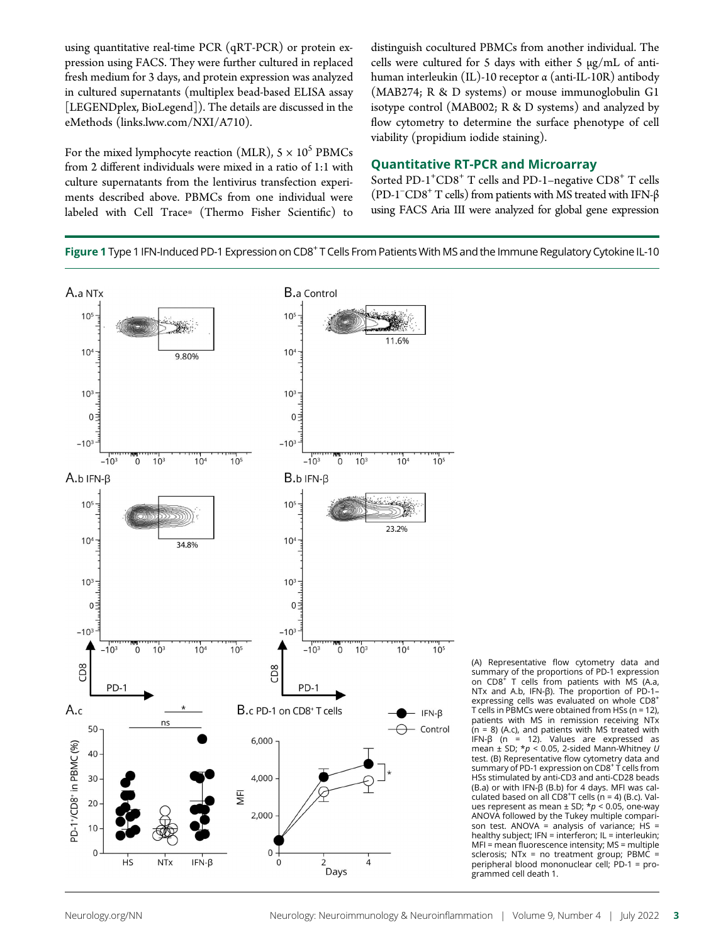using quantitative real-time PCR (qRT-PCR) or protein expression using FACS. They were further cultured in replaced fresh medium for 3 days, and protein expression was analyzed in cultured supernatants (multiplex bead-based ELISA assay [LEGENDplex, BioLegend]). The details are discussed in the eMethods [\(links.lww.com/NXI/A710](http://links.lww.com/NXI/A710)).

For the mixed lymphocyte reaction (MLR),  $5 \times 10^5$  PBMCs from 2 different individuals were mixed in a ratio of 1:1 with culture supernatants from the lentivirus transfection experiments described above. PBMCs from one individual were labeled with Cell Trace® (Thermo Fisher Scientific) to distinguish cocultured PBMCs from another individual. The cells were cultured for 5 days with either 5 μg/mL of antihuman interleukin (IL)-10 receptor α (anti-IL-10R) antibody (MAB274; R & D systems) or mouse immunoglobulin G1 isotype control (MAB002; R & D systems) and analyzed by flow cytometry to determine the surface phenotype of cell viability (propidium iodide staining).

### Quantitative RT-PCR and Microarray

Sorted PD-1<sup>+</sup>CD8<sup>+</sup> T cells and PD-1-negative CD8<sup>+</sup> T cells (PD-1<sup>-</sup>CD8<sup>+</sup> T cells) from patients with MS treated with IFN-β using FACS Aria III were analyzed for global gene expression

Figure 1 Type 1 IFN-Induced PD-1 Expression on CD8<sup>+</sup> T Cells From Patients With MS and the Immune Regulatory Cytokine IL-10



(A) Representative flow cytometry data and summary of the proportions of PD-1 expression<br>on CD8<sup>+</sup> T cells from patients with MS (A.a, NTx and A.b, IFN-β). The proportion of PD-1– expressing cells was evaluated on whole CD8<sup>+</sup> T cells in PBMCs were obtained from HSs ( $n = 12$ ), patients with MS in remission receiving NTx (n = 8) (A.c), and patients with MS treated with IFN-β (n = 12). Values are expressed as mean  $\pm$  SD;  $* p < 0.05$ , 2-sided Mann-Whitney U test. (B) Representative flow cytometry data and summary of PD-1 expression on CD8<sup>+</sup> T cells from HSs stimulated by anti-CD3 and anti-CD28 beads (B.a) or with IFN-β (B.b) for 4 days. MFI was calculated based on all  $CDS<sup>+</sup>T$  cells (n = 4) (B.c). Values represent as mean  $\pm$  SD;  $\star p$  < 0.05, one-way ANOVA followed by the Tukey multiple comparison test. ANOVA = analysis of variance;  $HS =$ healthy subject; IFN = interferon; IL = interleukin; MFI = mean fluorescence intensity; MS = multiple sclerosis; NTx = no treatment group; PBMC = peripheral blood mononuclear cell; PD-1 = programmed cell death 1.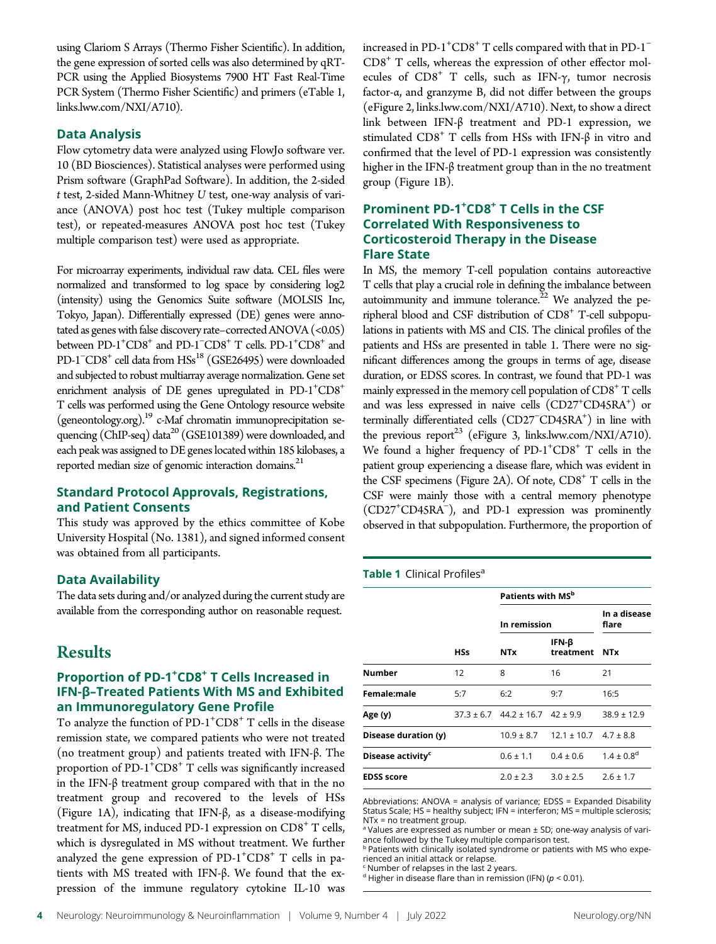using Clariom S Arrays (Thermo Fisher Scientific). In addition, the gene expression of sorted cells was also determined by qRT-PCR using the Applied Biosystems 7900 HT Fast Real-Time PCR System (Thermo Fisher Scientific) and primers (eTable 1, [links.lww.com/NXI/A710\)](http://links.lww.com/NXI/A710).

### Data Analysis

Flow cytometry data were analyzed using FlowJo software ver. 10 (BD Biosciences). Statistical analyses were performed using Prism software (GraphPad Software). In addition, the 2-sided t test, 2-sided Mann-Whitney U test, one-way analysis of variance (ANOVA) post hoc test (Tukey multiple comparison test), or repeated-measures ANOVA post hoc test (Tukey multiple comparison test) were used as appropriate.

For microarray experiments, individual raw data. CEL files were normalized and transformed to log space by considering log2 (intensity) using the Genomics Suite software (MOLSIS Inc, Tokyo, Japan). Differentially expressed (DE) genes were annotated as genes with false discovery rate–corrected ANOVA (<0.05) between  $PD-1$ <sup>+</sup> $CD8$ <sup>+</sup> and  $PD-1$ <sup>- $CD8$ <sup>+</sup> T cells.  $PD-1$ <sup>+</sup> $CD8$ <sup>+</sup> and</sup> PD-1<sup>-</sup>CD8<sup>+</sup> cell data from HSs<sup>18</sup> (GSE26495) were downloaded and subjected to robust multiarray average normalization. Gene set enrichment analysis of DE genes upregulated in  $PD-1$ <sup>+</sup> $CD8$ <sup>+</sup> T cells was performed using the Gene Ontology resource website [\(geneontology.org](http://geneontology.org/)).<sup>19</sup> c-Maf chromatin immunoprecipitation sequencing (ChIP-seq) data20 (GSE101389) were downloaded, and each peak was assigned to DE genes located within 185 kilobases, a reported median size of genomic interaction domains.<sup>21</sup>

### Standard Protocol Approvals, Registrations, and Patient Consents

This study was approved by the ethics committee of Kobe University Hospital (No. 1381), and signed informed consent was obtained from all participants.

### Data Availability

The data sets during and/or analyzed during the current study are available from the corresponding author on reasonable request.

# Results

### Proportion of PD-1<sup>+</sup>CD8<sup>+</sup> T Cells Increased in IFN-β–Treated Patients With MS and Exhibited an Immunoregulatory Gene Profile

To analyze the function of  $PD-1$ <sup>+</sup> $CD8$ <sup>+</sup> T cells in the disease remission state, we compared patients who were not treated (no treatment group) and patients treated with IFN-β. The proportion of  $PD-1$ <sup>+</sup> $CD8$ <sup>+</sup>  $T$  cells was significantly increased in the IFN-β treatment group compared with that in the no treatment group and recovered to the levels of HSs (Figure 1A), indicating that IFN-β, as a disease-modifying treatment for MS, induced PD-1 expression on  $CD8<sup>+</sup>$  T cells, which is dysregulated in MS without treatment. We further analyzed the gene expression of PD-1<sup>+</sup>CD8<sup>+</sup> T cells in patients with MS treated with IFN-β. We found that the expression of the immune regulatory cytokine IL-10 was

increased in PD-1<sup>+</sup>CD8<sup>+</sup> T cells compared with that in PD-1<sup>-</sup>  $CD8<sup>+</sup>$  T cells, whereas the expression of other effector molecules of  $CD8<sup>+</sup>$  T cells, such as IFN- $\gamma$ , tumor necrosis factor-α, and granzyme B, did not differ between the groups (eFigure 2, [links.lww.com/NXI/A710](http://links.lww.com/NXI/A710)). Next, to show a direct link between IFN-β treatment and PD-1 expression, we stimulated  $CD8<sup>+</sup>$  T cells from HSs with IFN-β in vitro and confirmed that the level of PD-1 expression was consistently higher in the IFN-β treatment group than in the no treatment group (Figure 1B).

### Prominent PD-1<sup>+</sup>CD8<sup>+</sup> T Cells in the CSF Correlated With Responsiveness to Corticosteroid Therapy in the Disease Flare State

In MS, the memory T-cell population contains autoreactive T cells that play a crucial role in defining the imbalance between autoimmunity and immune tolerance. $22$  We analyzed the peripheral blood and CSF distribution of CD8<sup>+</sup> T-cell subpopulations in patients with MS and CIS. The clinical profiles of the patients and HSs are presented in table 1. There were no significant differences among the groups in terms of age, disease duration, or EDSS scores. In contrast, we found that PD-1 was mainly expressed in the memory cell population of  $CD8<sup>+</sup>$  T cells and was less expressed in naive cells (CD27<sup>+</sup>CD45RA<sup>+</sup>) or terminally differentiated cells (CD27<sup>-</sup>CD45RA<sup>+</sup>) in line with the previous report<sup>23</sup> (eFigure 3, [links.lww.com/NXI/A710](http://links.lww.com/NXI/A710)). We found a higher frequency of PD-1<sup>+</sup>CD8<sup>+</sup> T cells in the patient group experiencing a disease flare, which was evident in the CSF specimens (Figure 2A). Of note,  $CDS<sup>+</sup> T$  cells in the CSF were mainly those with a central memory phenotype (CD27+ CD45RA<sup>−</sup> ), and PD-1 expression was prominently observed in that subpopulation. Furthermore, the proportion of

### Table 1 Clinical Profiles<sup>a</sup>

|                               | <b>HSs</b> | Patients with MS <sup>b</sup>               |                                              |                            |
|-------------------------------|------------|---------------------------------------------|----------------------------------------------|----------------------------|
|                               |            | In remission                                |                                              | In a disease<br>flare      |
|                               |            | <b>NTx</b>                                  | IFN- $\beta$<br>treatment                    | <b>NTx</b>                 |
| Number                        | 12         | 8                                           | 16                                           | 21                         |
| Female:male                   | 5:7        | 6:2                                         | 9:7                                          | 16:5                       |
| Age (y)                       |            | $37.3 \pm 6.7$ $44.2 \pm 16.7$ $42 \pm 9.9$ |                                              | $38.9 \pm 12.9$            |
| Disease duration (y)          |            |                                             | $10.9 \pm 8.7$ $12.1 \pm 10.7$ $4.7 \pm 8.8$ |                            |
| Disease activity <sup>c</sup> |            | $0.6 \pm 1.1$                               | $0.4 \pm 0.6$                                | $1.4 \pm 0.8$ <sup>d</sup> |
| <b>EDSS score</b>             |            | $2.0 \pm 2.3$                               | $3.0 \pm 2.5$                                | $2.6 \pm 1.7$              |

Abbreviations: ANOVA = analysis of variance; EDSS = Expanded Disability Status Scale; HS = healthy subject; IFN = interferon; MS = multiple sclerosis; NTx = no treatment group.

<sup>a</sup> Values are expressed as number or mean ± SD; one-way analysis of variance followed by the Tukey multiple comparison test.

**b Patients with clinically isolated syndrome or patients with MS who expe**rienced an initial attack or relapse.

Number of relapses in the last 2 years.

<sup>d</sup> Higher in disease flare than in remission (IFN) ( $p < 0.01$ ).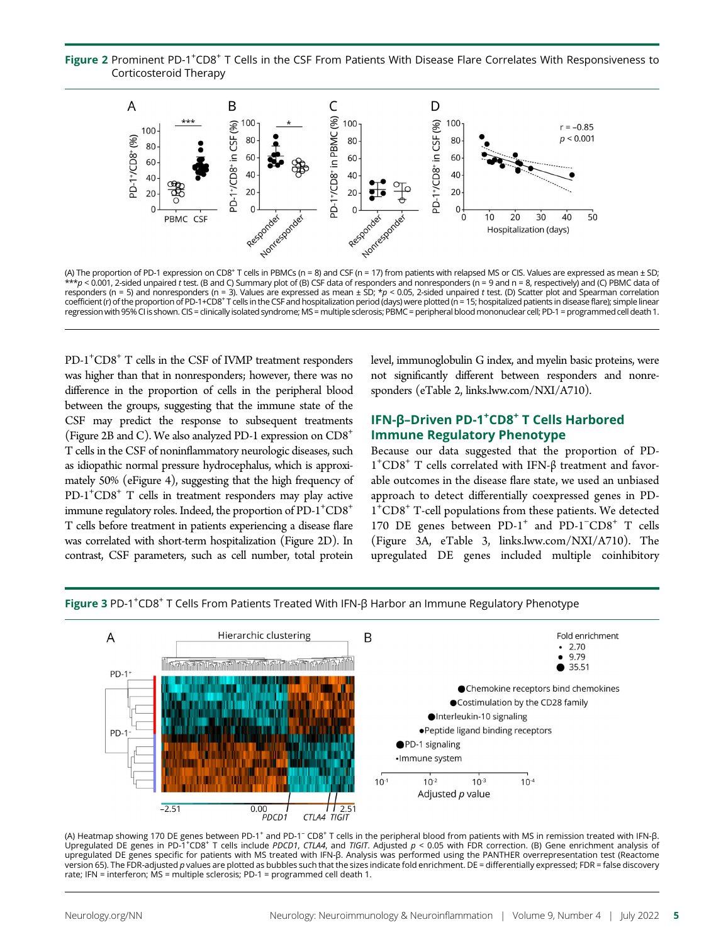Figure 2 Prominent PD-1<sup>+</sup>CD8<sup>+</sup> T Cells in the CSF From Patients With Disease Flare Correlates With Responsiveness to Corticosteroid Therapy



(A) The proportion of PD-1 expression on CD8<sup>+</sup> T cells in PBMCs (n = 8) and CSF (n = 17) from patients with relapsed MS or CIS. Values are expressed as mean ± SD;<br>\*\*\*p < 0.001, 2-sided unpaired *t* test. (B and C) Summary responders (n = 5) and nonresponders (n = 3). Values are expressed as mean  $\pm$  SD; \*p < 0.05, 2-sided unpaired t test. (D) Scatter plot and Spearman correlation coefficient (r) of the proportion of PD-1+CD8+ T cells in the CSF and hospitalization period (days) were plotted (n = 15; hospitalized patients in disease flare); simple linear regression with 95% CI is shown. CIS = clinically isolated syndrome; MS = multiple sclerosis; PBMC = peripheral blood mononuclear cell; PD-1 = programmed cell death 1.

PD-1<sup>+</sup>CD8<sup>+</sup> T cells in the CSF of IVMP treatment responders was higher than that in nonresponders; however, there was no difference in the proportion of cells in the peripheral blood between the groups, suggesting that the immune state of the CSF may predict the response to subsequent treatments (Figure 2B and C). We also analyzed PD-1 expression on  $CDS<sup>+</sup>$ T cells in the CSF of noninflammatory neurologic diseases, such as idiopathic normal pressure hydrocephalus, which is approximately 50% (eFigure 4), suggesting that the high frequency of PD-1<sup>+</sup>CD8<sup>+</sup> T cells in treatment responders may play active immune regulatory roles. Indeed, the proportion of PD-1<sup>+</sup>CD8<sup>+</sup> T cells before treatment in patients experiencing a disease flare was correlated with short-term hospitalization (Figure 2D). In contrast, CSF parameters, such as cell number, total protein

level, immunoglobulin G index, and myelin basic proteins, were not significantly different between responders and nonresponders (eTable 2, [links.lww.com/NXI/A710\)](http://links.lww.com/NXI/A710).

### IFN-β-Driven PD-1<sup>+</sup>CD8<sup>+</sup> T Cells Harbored Immune Regulatory Phenotype

Because our data suggested that the proportion of PD-1<sup>+</sup>CD8<sup>+</sup> T cells correlated with IFN-β treatment and favorable outcomes in the disease flare state, we used an unbiased approach to detect differentially coexpressed genes in PD-1+ CD8<sup>+</sup> T-cell populations from these patients. We detected 170 DE genes between PD-1<sup>+</sup> and PD-1<sup>-</sup>CD8<sup>+</sup> T cells (Figure 3A, eTable 3, [links.lww.com/NXI/A710](http://links.lww.com/NXI/A710)). The upregulated DE genes included multiple coinhibitory

Figure 3 PD-1<sup>+</sup>CD8<sup>+</sup> T Cells From Patients Treated With IFN-β Harbor an Immune Regulatory Phenotype



(A) Heatmap showing 170 DE genes between PD-1+ and PD-1– CD8<sup>+</sup> T cells in the peripheral blood from patients with MS in remission treated with IFN-β. Upregulated DE genes in PD-1\*CD8\* T cells include PDCD1, CTLA4, and TIGIT. Adjusted  $p < 0.05$  with FDR correction. (B) Gene enrichment analysis of upregulated DE genes specific for patients with MS treated with IFN-β. Analysis was performed using the PANTHER overrepresentation test (Reactome version 65). The FDR-adjusted p values are plotted as bubbles such that the sizes indicate fold enrichment. DE = differentially expressed; FDR = false discovery rate; IFN = interferon; MS = multiple sclerosis; PD-1 = programmed cell death 1.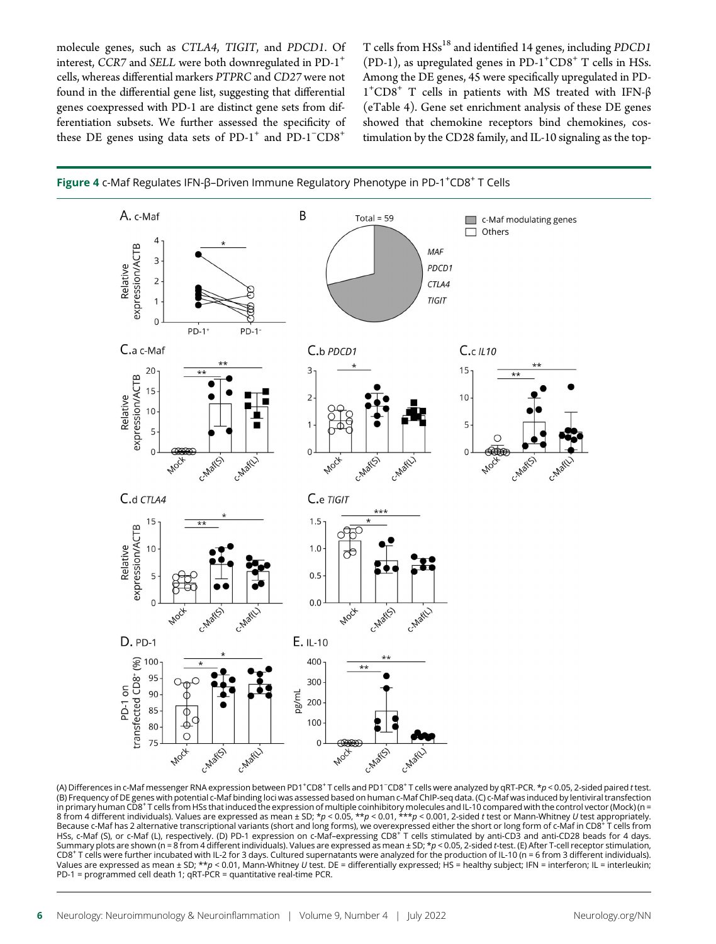molecule genes, such as CTLA4, TIGIT, and PDCD1. Of interest, CCR7 and SELL were both downregulated in PD-1<sup>+</sup> cells, whereas differential markers PTPRC and CD27 were not found in the differential gene list, suggesting that differential genes coexpressed with PD-1 are distinct gene sets from differentiation subsets. We further assessed the specificity of these DE genes using data sets of  $PD-1^+$  and  $PD-1^-CD8^+$ 

T cells from  $HSS^{18}$  and identified 14 genes, including PDCD1 (PD-1), as upregulated genes in  $PD-1+CD8+T$  cells in HSs. Among the DE genes, 45 were specifically upregulated in PD-1<sup>+</sup>CD8<sup>+</sup> T cells in patients with MS treated with IFN-β (eTable 4). Gene set enrichment analysis of these DE genes showed that chemokine receptors bind chemokines, costimulation by the CD28 family, and IL-10 signaling as the top-





(A) Differences in c-Maf messenger RNA expression between PD1<sup>+</sup>CD8<sup>+</sup> T cells and PD1<sup>–</sup>CD8<sup>+</sup> T cells were analyzed by qRT-PCR. \*p < 0.05, 2-sided paired *t* test.<br>(B) Frequency of DE genes with potential c-Maf binding l in primary human CD8†T cells from HSs that induced the expression of multiple coinhibitory molecules and IL-10 compared with the control vector (Mock) (n =<br>8 from 4 different individuals). Values are expressed as mean ± SD Because c-Maf has 2 alternative transcriptional variants (short and long forms), we overexpressed either the short or long form of c-Maf in CD8<sup>+</sup> T cells from HSs, c-Maf (S), or c-Maf (L), respectively. (D) PD-1 expression on c-Maf–expressing CD8<sup>+</sup> T cells stimulated by anti-CD3 and anti-CD28 beads for 4 days. Summary plots are shown (n = 8 from 4 different individuals). Values are expressed as mean ± SD; \*p < 0.05, 2-sided t-test. (E) After T-cell receptor stimulation, CD8<sup>+</sup> T cells were further incubated with IL-2 for 3 days. Cultured supernatants were analyzed for the production of IL-10 (n = 6 from 3 different individuals). Values are expressed as mean ± SD; \*\*p < 0.01, Mann-Whitney U test. DE = differentially expressed; HS = healthy subject; IFN = interferon; IL = interleukin; PD-1 = programmed cell death 1; qRT-PCR = quantitative real-time PCR.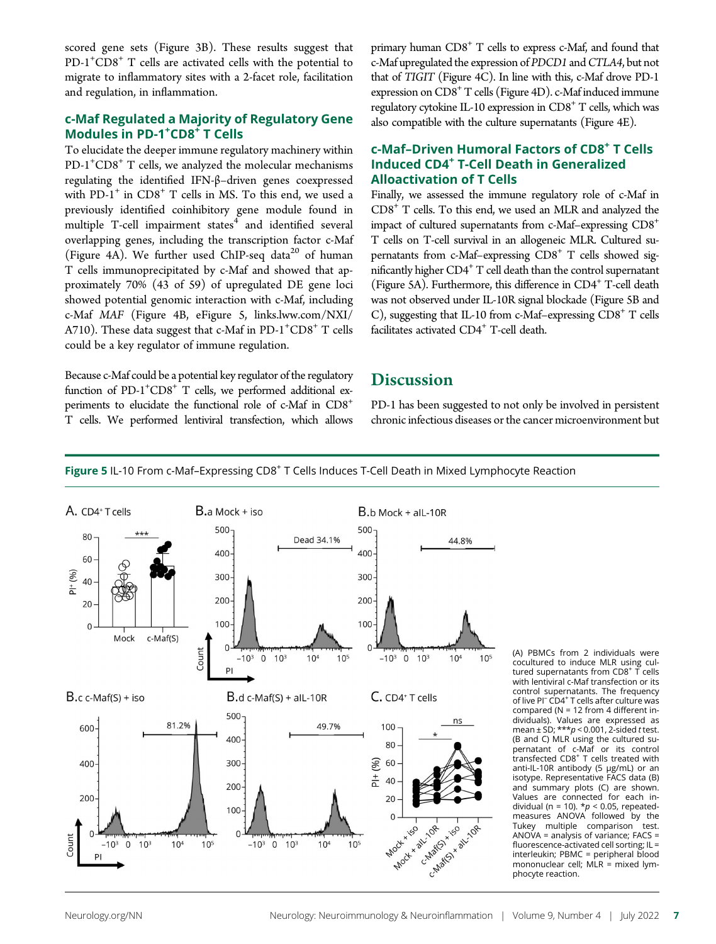scored gene sets (Figure 3B). These results suggest that PD-1<sup>+</sup>CD8<sup>+</sup> T cells are activated cells with the potential to migrate to inflammatory sites with a 2-facet role, facilitation and regulation, in inflammation.

### c-Maf Regulated a Majority of Regulatory Gene Modules in PD-1<sup>+</sup>CD8<sup>+</sup> T Cells

To elucidate the deeper immune regulatory machinery within PD-1<sup>+</sup>CD8<sup>+</sup> T cells, we analyzed the molecular mechanisms regulating the identified IFN-β–driven genes coexpressed with  $PD-1^+$  in  $CD8^+$  T cells in MS. To this end, we used a previously identified coinhibitory gene module found in multiple  $T$ -cell impairment states $4$  and identified several overlapping genes, including the transcription factor c-Maf (Figure 4A). We further used ChIP-seq data<sup>20</sup> of human T cells immunoprecipitated by c-Maf and showed that approximately 70% (43 of 59) of upregulated DE gene loci showed potential genomic interaction with c-Maf, including c-Maf MAF (Figure 4B, eFigure 5, [links.lww.com/NXI/](http://links.lww.com/NXI/A710) [A710\)](http://links.lww.com/NXI/A710). These data suggest that c-Maf in PD-1<sup>+</sup>CD8<sup>+</sup> T cells could be a key regulator of immune regulation.

Because c-Maf could be a potential key regulator of the regulatory function of PD-1<sup>+</sup>CD8<sup>+</sup> T cells, we performed additional experiments to elucidate the functional role of c-Maf in CD8<sup>+</sup> T cells. We performed lentiviral transfection, which allows primary human CD8<sup>+</sup> T cells to express c-Maf, and found that c-Maf upregulated the expression of PDCD1 and CTLA4, but not that of TIGIT (Figure 4C). In line with this, c-Maf drove PD-1 expression on  $CDS<sup>+</sup> T$  cells (Figure 4D). c-Maf induced immune regulatory cytokine IL-10 expression in  $CD8<sup>+</sup>$  T cells, which was also compatible with the culture supernatants (Figure 4E).

### c-Maf–Driven Humoral Factors of CD8+ T Cells Induced CD4+ T-Cell Death in Generalized Alloactivation of T Cells

Finally, we assessed the immune regulatory role of c-Maf in CD8+ T cells. To this end, we used an MLR and analyzed the impact of cultured supernatants from c-Maf–expressing CD8+ T cells on T-cell survival in an allogeneic MLR. Cultured supernatants from c-Maf–expressing  $CDS<sup>+</sup> T$  cells showed significantly higher  $CD4^+$  T cell death than the control supernatant (Figure 5A). Furthermore, this difference in  $CD4^+$  T-cell death was not observed under IL-10R signal blockade (Figure 5B and C), suggesting that IL-10 from c-Maf-expressing CD8<sup>+</sup> T cells facilitates activated  $CD4^+$  T-cell death.

## **Discussion**

PD-1 has been suggested to not only be involved in persistent chronic infectious diseases or the cancer microenvironment but



Figure 5 IL-10 From c-Maf-Expressing CD8<sup>+</sup> T Cells Induces T-Cell Death in Mixed Lymphocyte Reaction

(A) PBMCs from 2 individuals were cocultured to induce MLR using cultured supernatants from CD8<sup>+</sup> T cells with lentiviral c-Maf transfection or its control supernatants. The frequency of live PI<sup>-</sup> CD4<sup>+</sup> T cells after culture was compared ( $N = 12$  from 4 different individuals). Values are expressed as mean  $\pm$  SD;  $***p$  < 0.001, 2-sided t test. (B and C) MLR using the cultured supernatant of c-Maf or its control transfected CD8<sup>+</sup> T cells treated with anti-IL-10R antibody (5 μg/mL) or an isotype. Representative FACS data (B) and summary plots (C) are shown. Values are connected for each individual (n = 10).  $*_p$  < 0.05, repeatedmeasures ANOVA followed by the Tukey multiple comparison test. ANOVA = analysis of variance; FACS = fluorescence-activated cell sorting; IL = interleukin; PBMC = peripheral blood mononuclear cell;  $MLR = mixed$  lymphocyte reaction.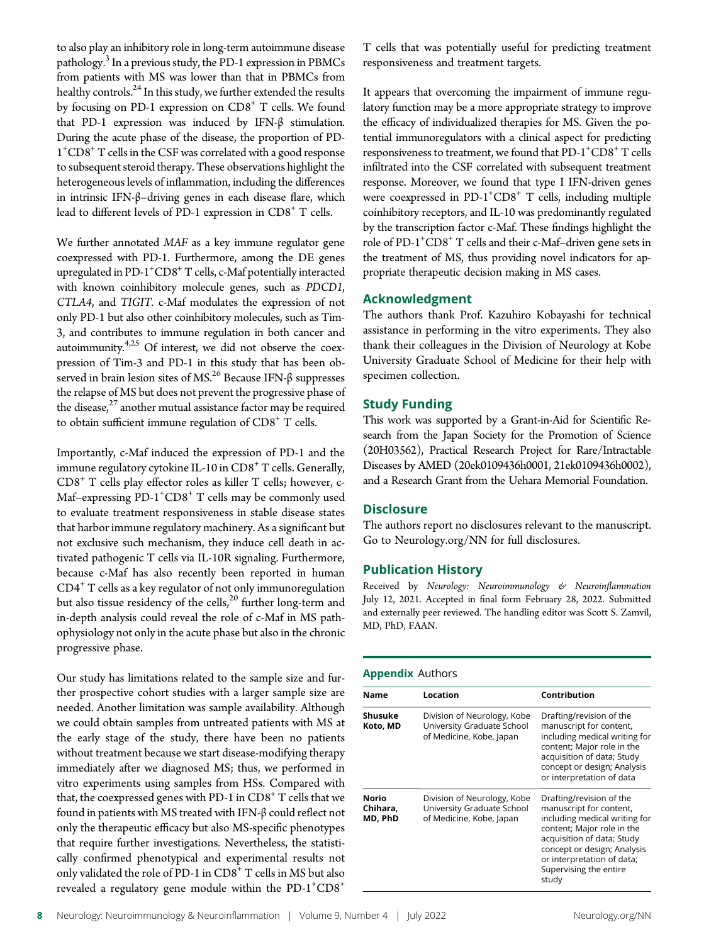to also play an inhibitory role in long-term autoimmune disease pathology.<sup>3</sup> In a previous study, the PD-1 expression in PBMCs from patients with MS was lower than that in PBMCs from healthy controls. $^{24}$  In this study, we further extended the results by focusing on PD-1 expression on  $CDS<sup>+</sup> T$  cells. We found that PD-1 expression was induced by IFN-β stimulation. During the acute phase of the disease, the proportion of PD-1+ CD8+ T cells in the CSF was correlated with a good response to subsequent steroid therapy. These observations highlight the heterogeneous levels of inflammation, including the differences in intrinsic IFN-β–driving genes in each disease flare, which lead to different levels of PD-1 expression in  $CD8<sup>+</sup>$  T cells.

We further annotated MAF as a key immune regulator gene coexpressed with PD-1. Furthermore, among the DE genes upregulated in PD-1+ CD8+T cells, c-Maf potentially interacted with known coinhibitory molecule genes, such as PDCD1, CTLA4, and TIGIT. c-Maf modulates the expression of not only PD-1 but also other coinhibitory molecules, such as Tim-3, and contributes to immune regulation in both cancer and autoimmunity.<sup>4,25</sup> Of interest, we did not observe the coexpression of Tim-3 and PD-1 in this study that has been observed in brain lesion sites of MS.<sup>26</sup> Because IFN-β suppresses the relapse of MS but does not prevent the progressive phase of the disease, $27$  another mutual assistance factor may be required to obtain sufficient immune regulation of  $CD8<sup>+</sup>$  T cells.

Importantly, c-Maf induced the expression of PD-1 and the immune regulatory cytokine IL-10 in  $CDS<sup>+</sup> T$  cells. Generally, CD8<sup>+</sup> T cells play effector roles as killer T cells; however, c-Maf-expressing PD-1<sup>+</sup>CD8<sup>+</sup> T cells may be commonly used to evaluate treatment responsiveness in stable disease states that harbor immune regulatory machinery. As a significant but not exclusive such mechanism, they induce cell death in activated pathogenic T cells via IL-10R signaling. Furthermore, because c-Maf has also recently been reported in human  $CD4<sup>+</sup>$  T cells as a key regulator of not only immunoregulation but also tissue residency of the cells, $^{20}$  further long-term and in-depth analysis could reveal the role of c-Maf in MS pathophysiology not only in the acute phase but also in the chronic progressive phase.

Our study has limitations related to the sample size and further prospective cohort studies with a larger sample size are needed. Another limitation was sample availability. Although we could obtain samples from untreated patients with MS at the early stage of the study, there have been no patients without treatment because we start disease-modifying therapy immediately after we diagnosed MS; thus, we performed in vitro experiments using samples from HSs. Compared with that, the coexpressed genes with PD-1 in  $CDS<sup>+</sup> T$  cells that we found in patients with MS treated with IFN-β could reflect not only the therapeutic efficacy but also MS-specific phenotypes that require further investigations. Nevertheless, the statistically confirmed phenotypical and experimental results not only validated the role of PD-1 in  $CDS<sup>+</sup> T$  cells in MS but also revealed a regulatory gene module within the  $PD-1$ <sup>+</sup> $CD8$ <sup>+</sup>

T cells that was potentially useful for predicting treatment responsiveness and treatment targets.

It appears that overcoming the impairment of immune regulatory function may be a more appropriate strategy to improve the efficacy of individualized therapies for MS. Given the potential immunoregulators with a clinical aspect for predicting responsiveness to treatment, we found that PD-1<sup>+</sup>CD8<sup>+</sup> T cells infiltrated into the CSF correlated with subsequent treatment response. Moreover, we found that type I IFN-driven genes were coexpressed in PD-1<sup>+</sup>CD8<sup>+</sup> T cells, including multiple coinhibitory receptors, and IL-10 was predominantly regulated by the transcription factor c-Maf. These findings highlight the role of PD-1<sup>+</sup>CD8<sup>+</sup> T cells and their c-Maf-driven gene sets in the treatment of MS, thus providing novel indicators for appropriate therapeutic decision making in MS cases.

### Acknowledgment

The authors thank Prof. Kazuhiro Kobayashi for technical assistance in performing in the vitro experiments. They also thank their colleagues in the Division of Neurology at Kobe University Graduate School of Medicine for their help with specimen collection.

### Study Funding

This work was supported by a Grant-in-Aid for Scientific Research from the Japan Society for the Promotion of Science (20H03562), Practical Research Project for Rare/Intractable Diseases by AMED (20ek0109436h0001, 21ek0109436h0002), and a Research Grant from the Uehara Memorial Foundation.

### **Disclosure**

The authors report no disclosures relevant to the manuscript. Go to [Neurology.org/NN](https://nn.neurology.org/content/9/4/e1166/tab-article-info) for full disclosures.

### Publication History

Received by Neurology: Neuroimmunology & Neuroinflammation July 12, 2021. Accepted in final form February 28, 2022. Submitted and externally peer reviewed. The handling editor was Scott S. Zamvil, MD, PhD, FAAN.

### Appendix Authors

| <b>Name</b>                  | Location                                                                              | Contribution                                                                                                                                                                                                                                     |  |
|------------------------------|---------------------------------------------------------------------------------------|--------------------------------------------------------------------------------------------------------------------------------------------------------------------------------------------------------------------------------------------------|--|
| Shusuke<br>Koto, MD          | Division of Neurology, Kobe<br>University Graduate School<br>of Medicine, Kobe, Japan | Drafting/revision of the<br>manuscript for content,<br>including medical writing for<br>content; Major role in the<br>acquisition of data; Study<br>concept or design; Analysis<br>or interpretation of data                                     |  |
| Norio<br>Chihara.<br>MD, PhD | Division of Neurology, Kobe<br>University Graduate School<br>of Medicine, Kobe, Japan | Drafting/revision of the<br>manuscript for content,<br>including medical writing for<br>content; Major role in the<br>acquisition of data; Study<br>concept or design; Analysis<br>or interpretation of data;<br>Supervising the entire<br>study |  |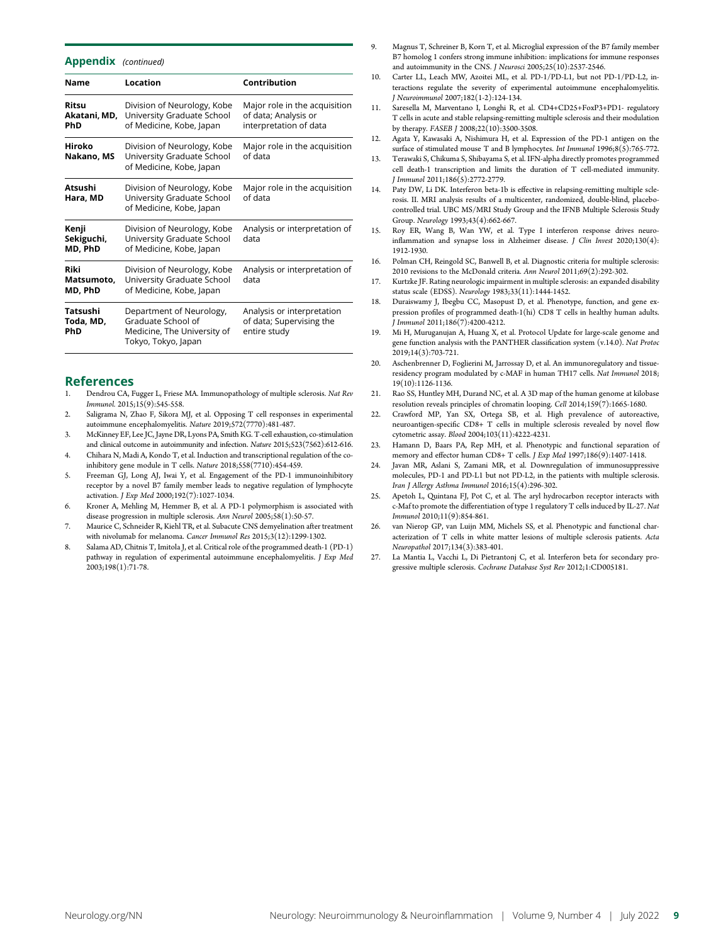### Appendix (continued)

| <b>Name</b>                    | Location                                                                                             | Contribution                                                                    |
|--------------------------------|------------------------------------------------------------------------------------------------------|---------------------------------------------------------------------------------|
| Ritsu<br>Akatani, MD,<br>PhD   | Division of Neurology, Kobe<br>University Graduate School<br>of Medicine, Kobe, Japan                | Major role in the acquisition<br>of data; Analysis or<br>interpretation of data |
| Hiroko<br>Nakano, MS           | Division of Neurology, Kobe<br>University Graduate School<br>of Medicine, Kobe, Japan                | Major role in the acquisition<br>of data                                        |
| Atsushi<br>Hara, MD            | Division of Neurology, Kobe<br>University Graduate School<br>of Medicine, Kobe, Japan                | Major role in the acquisition<br>of data                                        |
| Kenji<br>Sekiguchi,<br>MD, PhD | Division of Neurology, Kobe<br>University Graduate School<br>of Medicine, Kobe, Japan                | Analysis or interpretation of<br>data                                           |
| Riki<br>Matsumoto,<br>MD, PhD  | Division of Neurology, Kobe<br>University Graduate School<br>of Medicine, Kobe, Japan                | Analysis or interpretation of<br>data                                           |
| Tatsushi<br>Toda, MD,<br>PhD   | Department of Neurology,<br>Graduate School of<br>Medicine, The University of<br>Tokyo, Tokyo, Japan | Analysis or interpretation<br>of data; Supervising the<br>entire study          |

# References

- 1. Dendrou CA, Fugger L, Friese MA. Immunopathology of multiple sclerosis. Nat Rev Immunol. 2015;15(9):545-558.
- 2. Saligrama N, Zhao F, Sikora MJ, et al. Opposing T cell responses in experimental autoimmune encephalomyelitis. Nature 2019;572(7770):481-487.
- 3. McKinney EF, Lee JC, Jayne DR, Lyons PA, Smith KG. T-cell exhaustion, co-stimulation and clinical outcome in autoimmunity and infection. Nature 2015;523(7562):612-616.
- 4. Chihara N, Madi A, Kondo T, et al. Induction and transcriptional regulation of the coinhibitory gene module in T cells. Nature 2018;558(7710):454-459.
- 5. Freeman GJ, Long AJ, Iwai Y, et al. Engagement of the PD-1 immunoinhibitory receptor by a novel B7 family member leads to negative regulation of lymphocyte activation. J Exp Med 2000;192(7):1027-1034.
- 6. Kroner A, Mehling M, Hemmer B, et al. A PD-1 polymorphism is associated with disease progression in multiple sclerosis. Ann Neurol 2005;58(1):50-57.
- 7. Maurice C, Schneider R, Kiehl TR, et al. Subacute CNS demyelination after treatment with nivolumab for melanoma. Cancer Immunol Res 2015;3(12):1299-1302.
- 8. Salama AD, Chitnis T, Imitola J, et al. Critical role of the programmed death-1 (PD-1) pathway in regulation of experimental autoimmune encephalomyelitis. J Exp Med 2003;198(1):71-78.
- 9. Magnus T, Schreiner B, Korn T, et al. Microglial expression of the B7 family member B7 homolog 1 confers strong immune inhibition: implications for immune responses and autoimmunity in the CNS. *I Neurosci* 2005;25(10):2537-2546.
- 10. Carter LL, Leach MW, Azoitei ML, et al. PD-1/PD-L1, but not PD-1/PD-L2, interactions regulate the severity of experimental autoimmune encephalomyelitis. J Neuroimmunol 2007;182(1-2):124-134.
- 11. Saresella M, Marventano I, Longhi R, et al. CD4+CD25+FoxP3+PD1- regulatory T cells in acute and stable relapsing-remitting multiple sclerosis and their modulation by therapy. FASEB J 2008;22(10):3500-3508.
- 12. Agata Y, Kawasaki A, Nishimura H, et al. Expression of the PD-1 antigen on the surface of stimulated mouse T and B lymphocytes. Int Immunol 1996;8(5):765-772.
- 13. Terawaki S, Chikuma S, Shibayama S, et al. IFN-alpha directly promotes programmed cell death-1 transcription and limits the duration of T cell-mediated immunity. J Immunol 2011;186(5):2772-2779.
- 14. Paty DW, Li DK. Interferon beta-1b is effective in relapsing-remitting multiple sclerosis. II. MRI analysis results of a multicenter, randomized, double-blind, placebocontrolled trial. UBC MS/MRI Study Group and the IFNB Multiple Sclerosis Study Group. Neurology 1993;43(4):662-667.
- 15. Roy ER, Wang B, Wan YW, et al. Type I interferon response drives neuroinflammation and synapse loss in Alzheimer disease. J Clin Invest 2020;130(4): 1912-1930.
- 16. Polman CH, Reingold SC, Banwell B, et al. Diagnostic criteria for multiple sclerosis: 2010 revisions to the McDonald criteria. Ann Neurol 2011;69(2):292-302.
- 17. Kurtzke JF. Rating neurologic impairment in multiple sclerosis: an expanded disability status scale (EDSS). Neurology 1983;33(11):1444-1452.
- 18. Duraiswamy J, Ibegbu CC, Masopust D, et al. Phenotype, function, and gene expression profiles of programmed death-1(hi) CD8 T cells in healthy human adults. J Immunol 2011;186(7):4200-4212.
- Mi H, Muruganujan A, Huang X, et al. Protocol Update for large-scale genome and gene function analysis with the PANTHER classification system (v.14.0). Nat Protoc 2019;14(3):703-721.
- 20. Aschenbrenner D, Foglierini M, Jarrossay D, et al. An immunoregulatory and tissueresidency program modulated by c-MAF in human TH17 cells. Nat Immunol 2018; 19(10):1126-1136.
- 21. Rao SS, Huntley MH, Durand NC, et al. A 3D map of the human genome at kilobase resolution reveals principles of chromatin looping. Cell 2014;159(7):1665-1680.
- 22. Crawford MP, Yan SX, Ortega SB, et al. High prevalence of autoreactive, neuroantigen-specific CD8+ T cells in multiple sclerosis revealed by novel flow cytometric assay. Blood 2004;103(11):4222-4231.
- 23. Hamann D, Baars PA, Rep MH, et al. Phenotypic and functional separation of memory and effector human CD8+ T cells. J Exp Med 1997;186(9):1407-1418.
- Javan MR, Aslani S, Zamani MR, et al. Downregulation of immunosuppressive molecules, PD-1 and PD-L1 but not PD-L2, in the patients with multiple sclerosis. Iran J Allergy Asthma Immunol 2016;15(4):296-302.
- 25. Apetoh L, Quintana FJ, Pot C, et al. The aryl hydrocarbon receptor interacts with c-Maf to promote the differentiation of type 1 regulatory T cells induced by IL-27. Nat Immunol 2010;11(9):854-861.
- 26. van Nierop GP, van Luijn MM, Michels SS, et al. Phenotypic and functional characterization of T cells in white matter lesions of multiple sclerosis patients. Acta Neuropathol 2017;134(3):383-401.
- La Mantia L, Vacchi L, Di Pietrantonj C, et al. Interferon beta for secondary progressive multiple sclerosis. Cochrane Database Syst Rev 2012;1:CD005181.